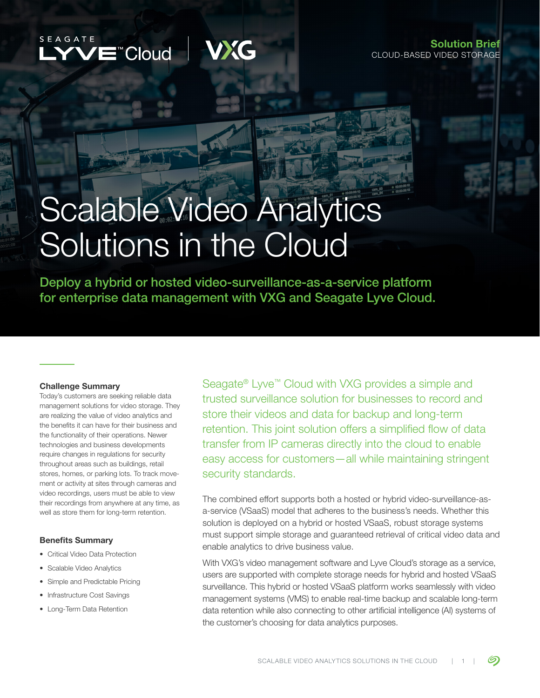



# Scalable Video Analytics Solutions in the Cloud

Deploy a hybrid or hosted video-surveillance-as-a-service platform for enterprise data management with VXG and Seagate Lyve Cloud.

#### Challenge Summary

Today's customers are seeking reliable data management solutions for video storage. They are realizing the value of video analytics and the benefits it can have for their business and the functionality of their operations. Newer technologies and business developments require changes in regulations for security throughout areas such as buildings, retail stores, homes, or parking lots. To track movement or activity at sites through cameras and video recordings, users must be able to view their recordings from anywhere at any time, as well as store them for long-term retention.

#### Benefits Summary

- Critical Video Data Protection
- Scalable Video Analytics
- Simple and Predictable Pricing
- Infrastructure Cost Savings
- Long-Term Data Retention

Seagate® Lyve™ Cloud with VXG provides a simple and trusted surveillance solution for businesses to record and store their videos and data for backup and long-term retention. This joint solution offers a simplified flow of data transfer from IP cameras directly into the cloud to enable easy access for customers—all while maintaining stringent security standards.

The combined effort supports both a hosted or hybrid video-surveillance-asa-service (VSaaS) model that adheres to the business's needs. Whether this solution is deployed on a hybrid or hosted VSaaS, robust storage systems must support simple storage and guaranteed retrieval of critical video data and enable analytics to drive business value.

With VXG's video management software and Lyve Cloud's storage as a service, users are supported with complete storage needs for hybrid and hosted VSaaS surveillance. This hybrid or hosted VSaaS platform works seamlessly with video management systems (VMS) to enable real-time backup and scalable long-term data retention while also connecting to other artificial intelligence (AI) systems of the customer's choosing for data analytics purposes.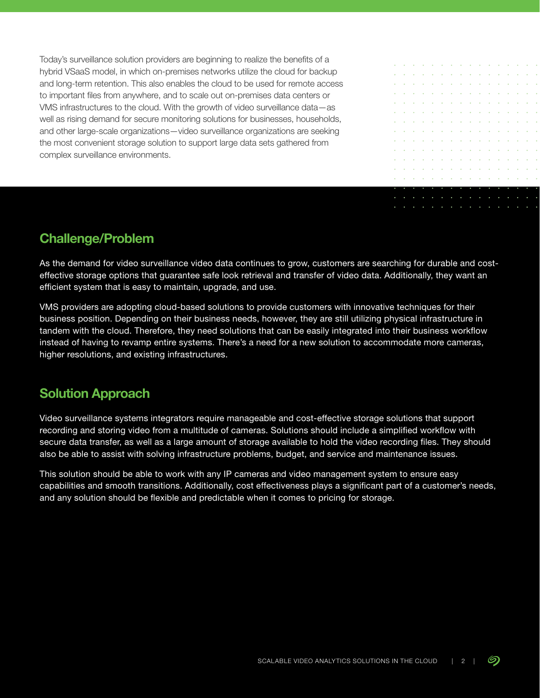Today's surveillance solution providers are beginning to realize the benefits of a hybrid VSaaS model, in which on-premises networks utilize the cloud for backup and long-term retention. This also enables the cloud to be used for remote access to important files from anywhere, and to scale out on-premises data centers or VMS infrastructures to the cloud. With the growth of video surveillance data—as well as rising demand for secure monitoring solutions for businesses, households, and other large-scale organizations—video surveillance organizations are seeking the most convenient storage solution to support large data sets gathered from complex surveillance environments.



## **Challenge/Problem**

As the demand for video surveillance video data continues to grow, customers are searching for durable and costeffective storage options that guarantee safe look retrieval and transfer of video data. Additionally, they want an efficient system that is easy to maintain, upgrade, and use.

VMS providers are adopting cloud-based solutions to provide customers with innovative techniques for their business position. Depending on their business needs, however, they are still utilizing physical infrastructure in tandem with the cloud. Therefore, they need solutions that can be easily integrated into their business workflow instead of having to revamp entire systems. There's a need for a new solution to accommodate more cameras, higher resolutions, and existing infrastructures.

## **Solution Approach**

Video surveillance systems integrators require manageable and cost-effective storage solutions that support recording and storing video from a multitude of cameras. Solutions should include a simplified workflow with secure data transfer, as well as a large amount of storage available to hold the video recording files. They should also be able to assist with solving infrastructure problems, budget, and service and maintenance issues.

This solution should be able to work with any IP cameras and video management system to ensure easy capabilities and smooth transitions. Additionally, cost effectiveness plays a significant part of a customer's needs, and any solution should be flexible and predictable when it comes to pricing for storage.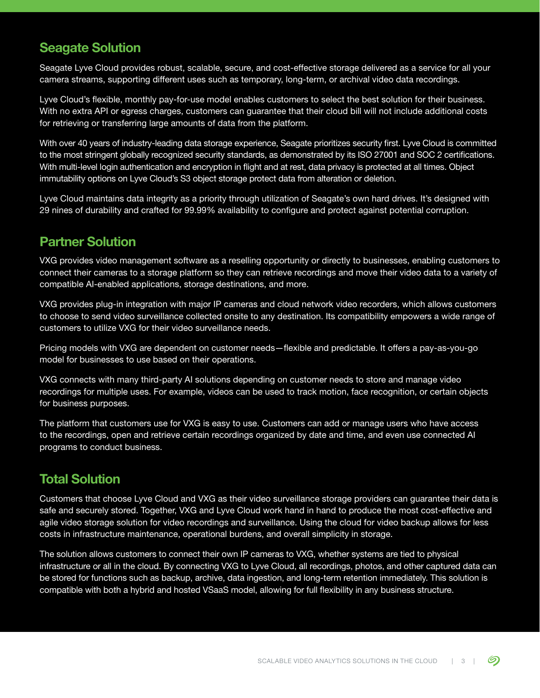#### **Seagate Solution**

Seagate Lyve Cloud provides robust, scalable, secure, and cost-effective storage delivered as a service for all your camera streams, supporting different uses such as temporary, long-term, or archival video data recordings.

Lyve Cloud's flexible, monthly pay-for-use model enables customers to select the best solution for their business. With no extra API or egress charges, customers can guarantee that their cloud bill will not include additional costs for retrieving or transferring large amounts of data from the platform.

With over 40 years of industry-leading data storage experience, Seagate prioritizes security first. Lyve Cloud is committed to the most stringent globally recognized security standards, as demonstrated by its ISO 27001 and SOC 2 certifications. With multi-level login authentication and encryption in flight and at rest, data privacy is protected at all times. Object immutability options on Lyve Cloud's S3 object storage protect data from alteration or deletion.

Lyve Cloud maintains data integrity as a priority through utilization of Seagate's own hard drives. It's designed with 29 nines of durability and crafted for 99.99% availability to configure and protect against potential corruption.

#### **Partner Solution**

VXG provides video management software as a reselling opportunity or directly to businesses, enabling customers to connect their cameras to a storage platform so they can retrieve recordings and move their video data to a variety of compatible AI-enabled applications, storage destinations, and more.

VXG provides plug-in integration with major IP cameras and cloud network video recorders, which allows customers to choose to send video surveillance collected onsite to any destination. Its compatibility empowers a wide range of customers to utilize VXG for their video surveillance needs.

Pricing models with VXG are dependent on customer needs—flexible and predictable. It offers a pay-as-you-go model for businesses to use based on their operations.

VXG connects with many third-party AI solutions depending on customer needs to store and manage video recordings for multiple uses. For example, videos can be used to track motion, face recognition, or certain objects for business purposes.

The platform that customers use for VXG is easy to use. Customers can add or manage users who have access to the recordings, open and retrieve certain recordings organized by date and time, and even use connected AI programs to conduct business.

#### **Total Solution**

Customers that choose Lyve Cloud and VXG as their video surveillance storage providers can guarantee their data is safe and securely stored. Together, VXG and Lyve Cloud work hand in hand to produce the most cost-effective and agile video storage solution for video recordings and surveillance. Using the cloud for video backup allows for less costs in infrastructure maintenance, operational burdens, and overall simplicity in storage.

The solution allows customers to connect their own IP cameras to VXG, whether systems are tied to physical infrastructure or all in the cloud. By connecting VXG to Lyve Cloud, all recordings, photos, and other captured data can be stored for functions such as backup, archive, data ingestion, and long-term retention immediately. This solution is compatible with both a hybrid and hosted VSaaS model, allowing for full flexibility in any business structure.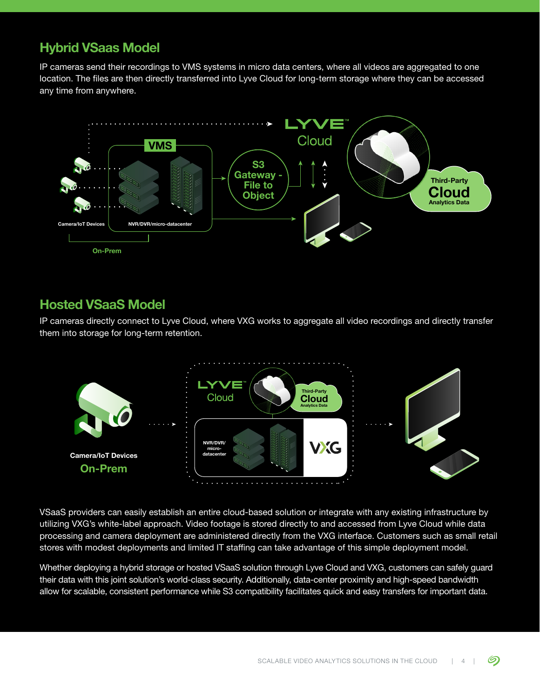### **Hybrid VSaas Model**

IP cameras send their recordings to VMS systems in micro data centers, where all videos are aggregated to one location. The files are then directly transferred into Lyve Cloud for long-term storage where they can be accessed any time from anywhere.



#### **Hosted VSaaS Model**

IP cameras directly connect to Lyve Cloud, where VXG works to aggregate all video recordings and directly transfer them into storage for long-term retention.



VSaaS providers can easily establish an entire cloud-based solution or integrate with any existing infrastructure by utilizing VXG's white-label approach. Video footage is stored directly to and accessed from Lyve Cloud while data processing and camera deployment are administered directly from the VXG interface. Customers such as small retail stores with modest deployments and limited IT staffing can take advantage of this simple deployment model.

Whether deploying a hybrid storage or hosted VSaaS solution through Lyve Cloud and VXG, customers can safely guard their data with this joint solution's world-class security. Additionally, data-center proximity and high-speed bandwidth allow for scalable, consistent performance while S3 compatibility facilitates quick and easy transfers for important data.